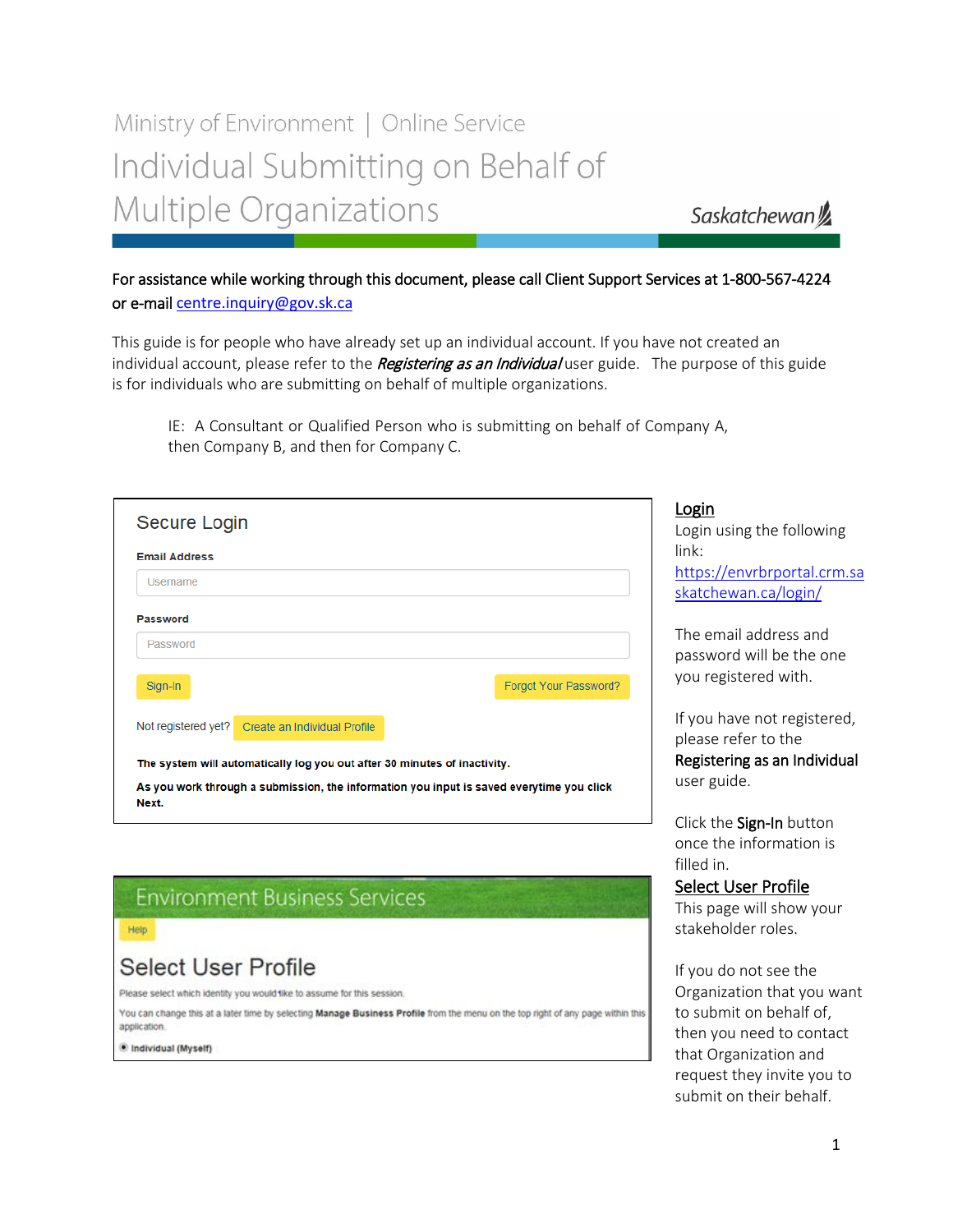# Ministry of Environment | Online Service Individual Submitting on Behalf of Multiple Organizations

Saskatchewan<sup>y</sup>

### For assistance while working through this document, please call Client Support Services at 1-800-567-4224 or e-mail [centre.inquiry@gov.sk.ca](mailto:centre.inquiry@gov.sk.ca)

This guide is for people who have already set up an individual account. If you have not created an individual account, please refer to the Registering as an Individual user guide. The purpose of this guide is for individuals who are submitting on behalf of multiple organizations.

IE: A Consultant or Qualified Person who is submitting on behalf of Company A, then Company B, and then for Company C.

| Secure Login                                                                                      | Login<br>Login using the following                  |
|---------------------------------------------------------------------------------------------------|-----------------------------------------------------|
| <b>Email Address</b>                                                                              | link:                                               |
| Username                                                                                          | https://envrbrportal.crm.sa<br>skatchewan.ca/login/ |
| Password                                                                                          |                                                     |
| Password                                                                                          | The email address and<br>password will be the one   |
| Forgot Your Password?<br>Sign-In                                                                  | you registered with.                                |
| Not registered yet? Create an Individual Profile                                                  | If you have not registered,<br>please refer to the  |
| The system will automatically log you out after 30 minutes of inactivity.                         | Registering as an Individual                        |
| As you work through a submission, the information you input is saved everytime you click<br>Next. | user guide.                                         |
|                                                                                                   | Click the Sign-In button                            |
|                                                                                                   | once the information is                             |
|                                                                                                   | fillad in                                           |

# **Environment Business Services**

#### Help

### **Select User Profile**

Please select which identity you would like to assume for this session.

You can change this at a later time by selecting Manage Business Profile from the menu on the top right of any page within this application.

Individual (Myself)

### filled in. Select User Profile

This page will show your stakeholder roles.

If you do not see the Organization that you want to submit on behalf of, then you need to contact that Organization and request they invite you to submit on their behalf.